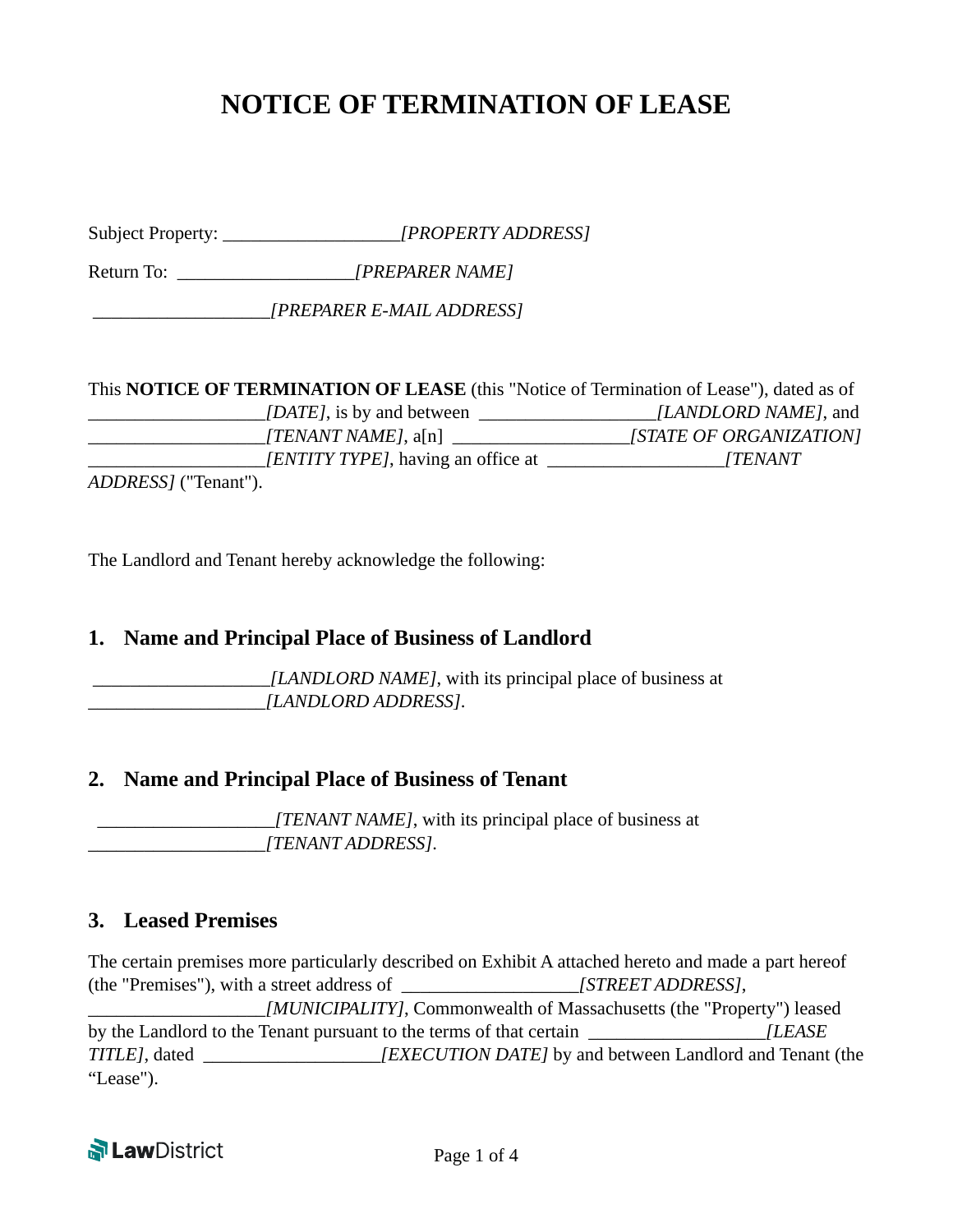# **NOTICE OF TERMINATION OF LEASE**

Subject Property: \_\_\_\_\_\_\_\_\_\_\_\_\_\_\_\_\_\_\_*[PROPERTY ADDRESS]*

Return To: \_\_\_\_\_\_\_\_\_\_\_\_\_\_\_\_\_\_\_*[PREPARER NAME]* 

\_\_\_\_\_\_\_\_\_\_\_\_\_\_\_\_\_\_\_*[PREPARER E-MAIL ADDRESS]*

This **NOTICE OF TERMINATION OF LEASE** (this "Notice of Termination of Lease"), dated as of \_\_\_\_\_\_\_\_\_\_\_\_\_\_\_\_\_\_\_*[DATE]*, is by and between \_\_\_\_\_\_\_\_\_\_\_\_\_\_\_\_\_\_\_*[LANDLORD NAME]*, and \_\_\_\_\_\_\_\_\_\_\_\_\_\_\_\_\_\_\_*[TENANT NAME]*, a[n] \_\_\_\_\_\_\_\_\_\_\_\_\_\_\_\_\_\_\_*[STATE OF ORGANIZATION]* \_\_\_\_\_\_\_\_\_\_\_\_\_\_\_\_\_\_\_*[ENTITY TYPE]*, having an office at \_\_\_\_\_\_\_\_\_\_\_\_\_\_\_\_\_\_\_*[TENANT ADDRESS]* ("Tenant").

The Landlord and Tenant hereby acknowledge the following:

#### **1. Name and Principal Place of Business of Landlord**

 \_\_\_\_\_\_\_\_\_\_\_\_\_\_\_\_\_\_\_*[LANDLORD NAME]*, with its principal place of business at \_\_\_\_\_\_\_\_\_\_\_\_\_\_\_\_\_\_\_*[LANDLORD ADDRESS]*.

#### **2. Name and Principal Place of Business of Tenant**

 \_\_\_\_\_\_\_\_\_\_\_\_\_\_\_\_\_\_\_*[TENANT NAME]*, with its principal place of business at \_\_\_\_\_\_\_\_\_\_\_\_\_\_\_\_\_\_\_*[TENANT ADDRESS]*.

#### **3. Leased Premises**

The certain premises more particularly described on Exhibit A attached hereto and made a part hereof (the "Premises"), with a street address of \_\_\_\_\_\_\_\_\_\_\_\_\_\_\_\_\_\_\_*[STREET ADDRESS]*, \_\_\_\_\_\_\_\_\_\_\_\_\_\_\_\_\_\_\_*[MUNICIPALITY]*, Commonwealth of Massachusetts (the "Property") leased by the Landlord to the Tenant pursuant to the terms of that certain *[LEASE TITLE]*, dated *[EXECUTION DATE]* by and between Landlord and Tenant (the "Lease").

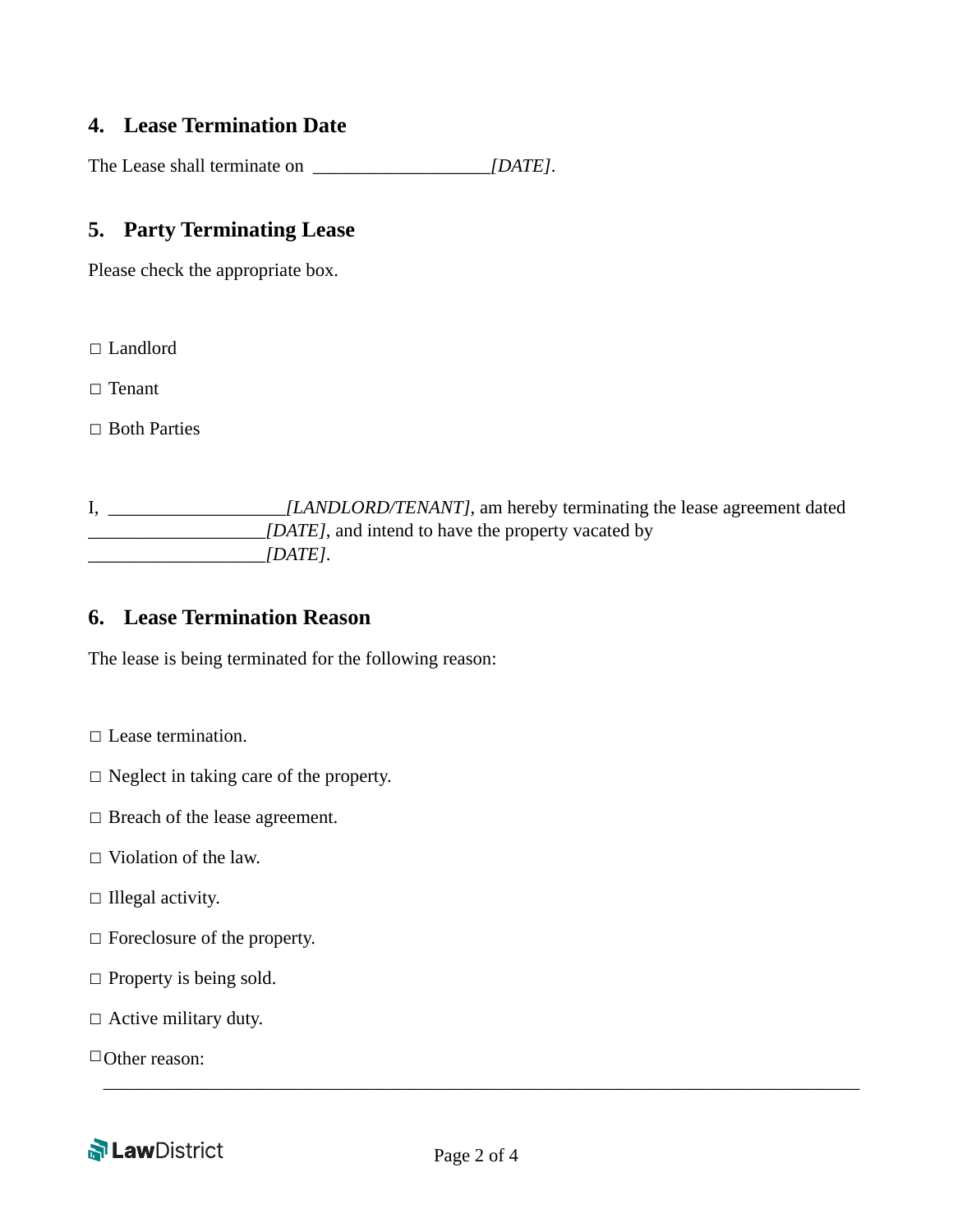#### **4. Lease Termination Date**

The Lease shall terminate on \_\_\_\_\_\_\_\_\_\_\_\_\_\_\_\_\_\_\_*[DATE]*.

#### **5. Party Terminating Lease**

Please check the appropriate box.

□ Landlord

☐ Tenant

□ Both Parties

I, \_\_\_\_\_\_\_\_\_\_\_\_\_\_\_\_\_\_\_*[LANDLORD/TENANT]*, am hereby terminating the lease agreement dated \_\_\_\_\_\_\_\_\_\_\_\_\_\_\_\_\_\_\_*[DATE]*, and intend to have the property vacated by \_\_\_\_\_\_\_\_\_\_\_\_\_\_\_\_\_\_\_*[DATE]*.

#### **6. Lease Termination Reason**

The lease is being terminated for the following reason:

- □ Lease termination.
- ☐ Neglect in taking care of the property.
- □ Breach of the lease agreement.
- $\Box$  Violation of the law.
- $\Box$  Illegal activity.
- ☐ Foreclosure of the property.
- $\Box$  Property is being sold.
- $\Box$  Active military duty.

□Other reason:



\_\_\_\_\_\_\_\_\_\_\_\_\_\_\_\_\_\_\_\_\_\_\_\_\_\_\_\_\_\_\_\_\_\_\_\_\_\_\_\_\_\_\_\_\_\_\_\_\_\_\_\_\_\_\_\_\_\_\_\_\_\_\_\_\_\_\_\_\_\_\_\_\_\_\_\_\_\_\_\_\_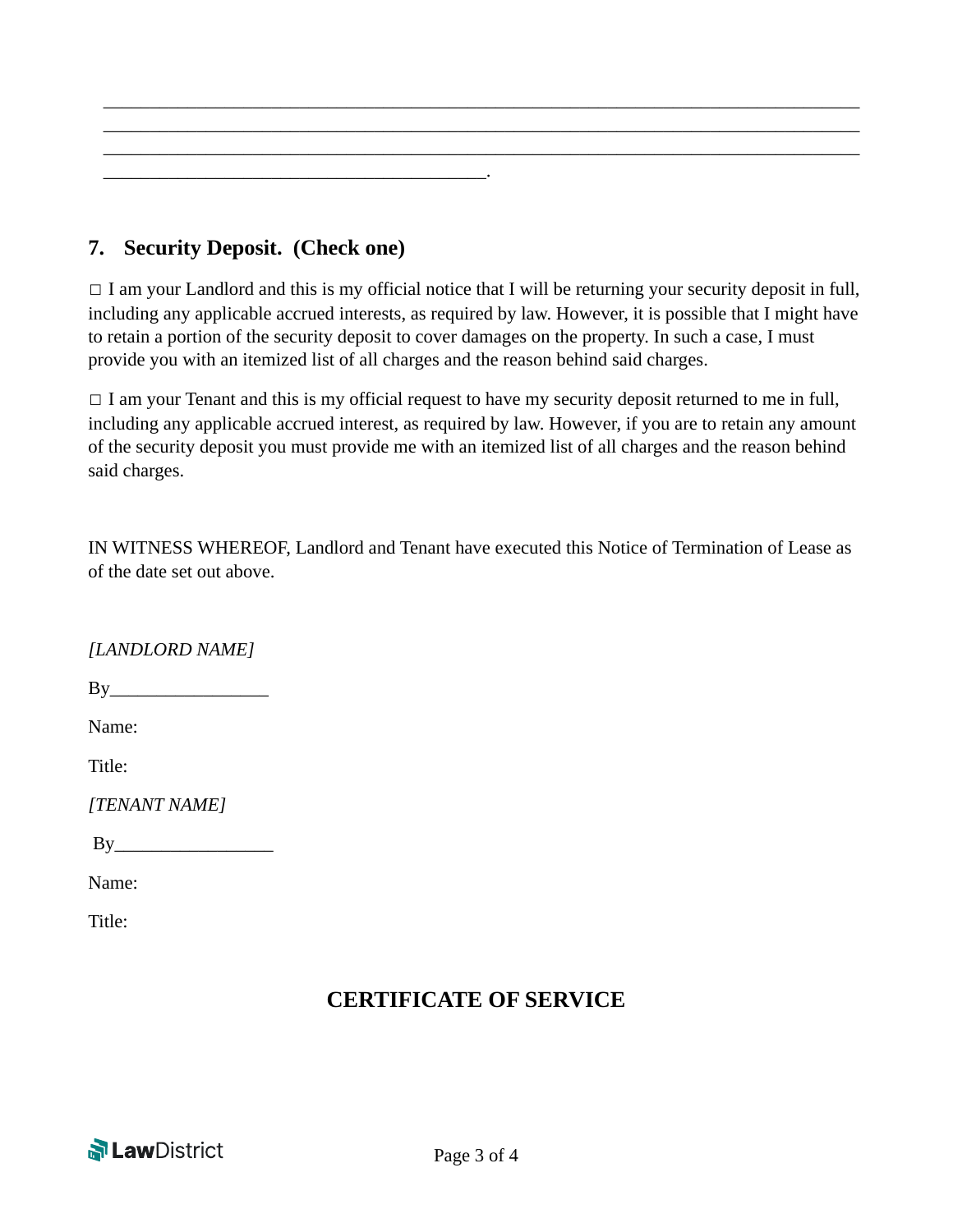

### **7. Security Deposit. (Check one)**

 $\Box$  I am your Landlord and this is my official notice that I will be returning your security deposit in full, including any applicable accrued interests, as required by law. However, it is possible that I might have to retain a portion of the security deposit to cover damages on the property. In such a case, I must provide you with an itemized list of all charges and the reason behind said charges.

 $\Box$  I am your Tenant and this is my official request to have my security deposit returned to me in full, including any applicable accrued interest, as required by law. However, if you are to retain any amount of the security deposit you must provide me with an itemized list of all charges and the reason behind said charges.

IN WITNESS WHEREOF, Landlord and Tenant have executed this Notice of Termination of Lease as of the date set out above.

*[LANDLORD NAME]* 

By\_\_\_\_\_\_\_\_\_\_\_\_\_\_\_\_\_

Name:

Title:

*[TENANT NAME]*

 $By$ 

Name:

Title:

## **CERTIFICATE OF SERVICE**